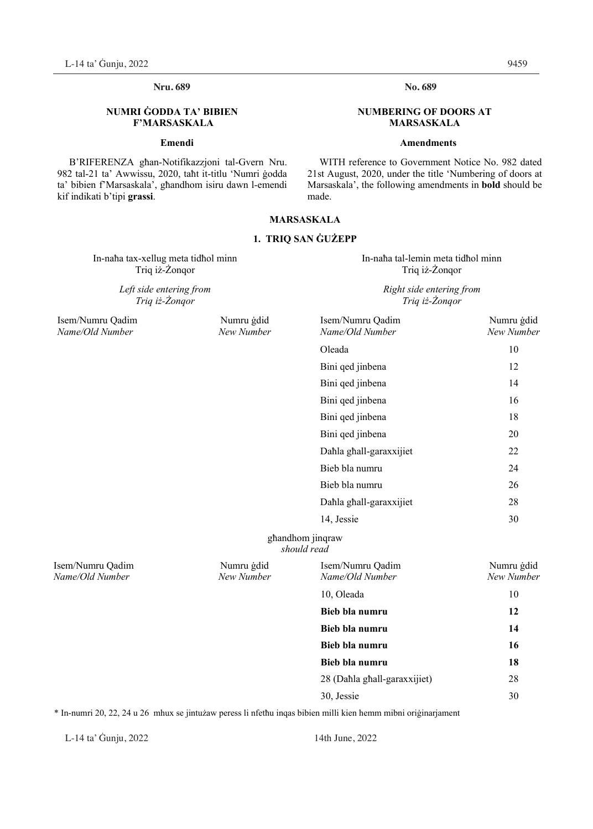# **Nru. Nru. 689 No. 689**

## **NUMRI ĠODDA TA' BIBIEN F'MARSASKALA**

## **Emendi**

B'RIFERENZA għan-Notifikazzjoni tal-Gvern Nru. 982 tal-21 ta' Awwissu, 2020, taħt it-titlu 'Numri ġodda ta' bibien f'Marsaskala', għandhom isiru dawn l-emendi kif indikati b'tipi **grassi**.

## **MARSASKALA**

## **1. TRIQ SAN ĠUŻEPP**

In-naħa tax-xellug meta tidħol minn In-naħa tal-lemin meta tidħol minn Triq iż-Żonqor Triq iż-Żonqor

*Left side entering from Triq iż-Żonqor* 

No. 689

## **NUMBERING OF DOORS AT MARSASKALA**

## **Amendments**

WITH reference to Government Notice No. 982 dated 21st August, 2020, under the title 'Numbering of doors at Marsaskala', the following amendments in **bold** should be made.

## *Right side entering from Triq iż-Żonqor*

| Isem/Numru Qadim<br>Name/Old Number | Numru gdid<br>New Number | Isem/Numru Qadim<br>Name/Old Number | Numru gdid<br>New Number |
|-------------------------------------|--------------------------|-------------------------------------|--------------------------|
|                                     |                          | Oleada                              | 10                       |
|                                     |                          | Bini qed jinbena                    | 12                       |
|                                     |                          | Bini qed jinbena                    | 14                       |
|                                     |                          | Bini qed jinbena                    | 16                       |
|                                     |                          | Bini qed jinbena                    | 18                       |
|                                     |                          | Bini qed jinbena                    | 20                       |
|                                     |                          | Dahla ghall-garaxxijiet             | 22                       |
|                                     |                          | Bieb bla numru                      | 24                       |
|                                     |                          | Bieb bla numru                      | 26                       |
|                                     |                          | Dahla ghall-garaxxijiet             | 28                       |
|                                     |                          | 14, Jessie                          | 30                       |
|                                     |                          | ghandhom jinqraw<br>should read     |                          |
| Isem/Numru Qadim<br>Name/Old Number | Numru gdid<br>New Number | Isem/Numru Qadim<br>Name/Old Number | Numru ġdid<br>New Number |
|                                     |                          | 10, Oleada                          | 10                       |
|                                     |                          | Bieb bla numru                      | 12                       |
|                                     |                          | Bieb bla numru                      | 14                       |
|                                     |                          | Bieb bla numru                      | 16                       |
|                                     |                          | Bieb bla numru                      | 18                       |
|                                     |                          | 28 (Dahla ghall-garaxxijiet)        | 28                       |
|                                     |                          | 30, Jessie                          | 30                       |
|                                     |                          |                                     |                          |

\* In-numri 20, 22, 24 u 26 mhux se jintużaw peress li nfetħu inqas bibien milli kien hemm mibni oriġinarjament

L-14 ta' Gunju, 2022 14th June, 2022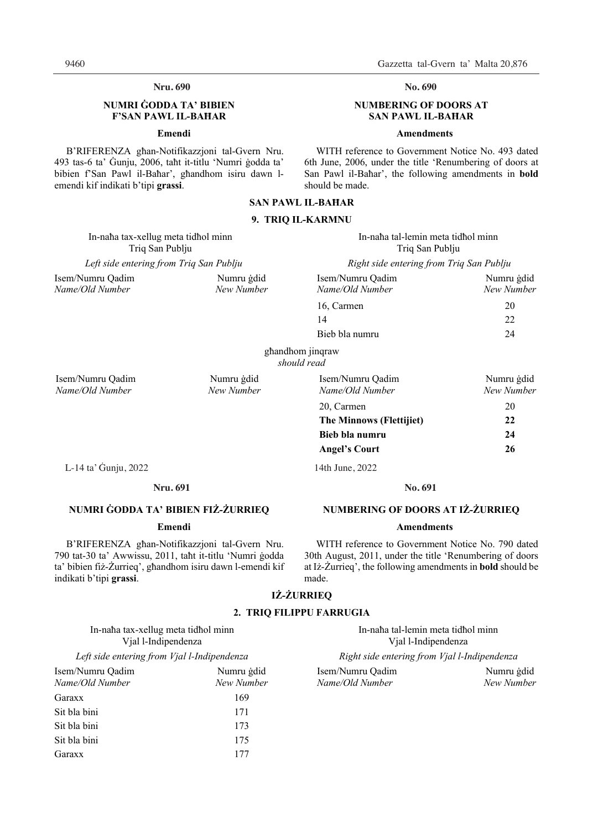## **Nru. 690 No. 690**

## **NUMRI ĠODDA TA' BIBIEN F'SAN PAWL IL-BAĦAR**

### **Emendi**

B'RIFERENZA għan-Notifikazzjoni tal-Gvern Nru. 493 tas-6 ta' Ġunju, 2006, taħt it-titlu 'Numri ġodda ta' bibien f'San Pawl il-Baħar', għandhom isiru dawn lemendi kif indikati b'tipi **grassi**.

**No.** 

## **NUMBERING OF DOORS AT SAN PAWL IL-BAĦAR**

## **Amendments**

WITH reference to Government Notice No. 493 dated 6th June, 2006, under the title 'Renumbering of doors at San Pawl il-Baħar', the following amendments in **bold** should be made.

*Name/Old Number New Number Name/Old Number New Number*20, Carmen 20 20  **The Minnows (Flettijiet) 22 Bieb bla numru 24 Angel's Court 26** 

**No.** 

**NUMBERING OF DOORS AT IŻ-ŻURRIEQ Amendments**  WITH reference to Government Notice No. 790 dated 30th August, 2011, under the title 'Renumbering of doors at Iż-Żurrieq', the following amendments in **bold** should be

## **SAN PAWL IL-BAĦAR**

## **9. TRIQ IL-KARMNU**

| In-naha tax-xellug meta tidhol minn     |            | In-naha tal-lemin meta tidhol minn       |            |
|-----------------------------------------|------------|------------------------------------------|------------|
| Triq San Publju                         |            | Triq San Publju                          |            |
| Left side entering from Triq San Publju |            | Right side entering from Triq San Publju |            |
| Isem/Numru Oadim                        | Numru gdid | Isem/Numru Oadim                         | Numru gdid |
| Name/Old Number                         | New Number | Name/Old Number                          | New Number |
|                                         |            | 16, Carmen                               | 20         |

Bieb bla numru 24

14 22

għandhom jinqraw *should read* 

Isem/Numru Qadim Numru ġdid Isem/Numru Qadim Numru ġdid

L-14 ta' Ġunju, 2022 14th June, 2022 L-14 ta' Ġunju, 2022 14th June, 2022

### **Nru. Nru. 691 No. 691**

## **NUMRI ĠODDA TA' BIBIEN FIŻ-ŻURRIEQ**

## **Emendi**

B'RIFERENZA għan-Notifikazzjoni tal-Gvern Nru. 790 tat-30 ta' Awwissu, 2011, taħt it-titlu 'Numri ġodda ta' bibien fiż-Żurrieq', għandhom isiru dawn l-emendi kif indikati b'tipi **grassi**.

# **IŻ-ŻURRIEQ**

made.

## **2. TRIQ FILIPPU FARRUGIA**

|                     | In-naha tax-xellug meta tidhol minn |  |  |  |
|---------------------|-------------------------------------|--|--|--|
| Vjal l-Indipendenza |                                     |  |  |  |

| Isem/Numru Oadim | Numru gdid |
|------------------|------------|
| Name/Old Number  | New Number |
| Garaxx           | 169        |
| Sit bla bini     | 171        |
| Sit bla bini     | 173        |
| Sit bla bini     | 175        |
| Garaxx           | 177        |

In-naħa tal-lemin meta tidħol minn Vjal l-Indipendenza

*Left side entering from Vjal l-Indipendenza Right side entering from Vjal l-Indipendenza* 

Isem/Numru Qadim Numru ġdid Isem/Numru Qadim Numru ġdid *Name/Old Number New Number Name/Old Number New Number*